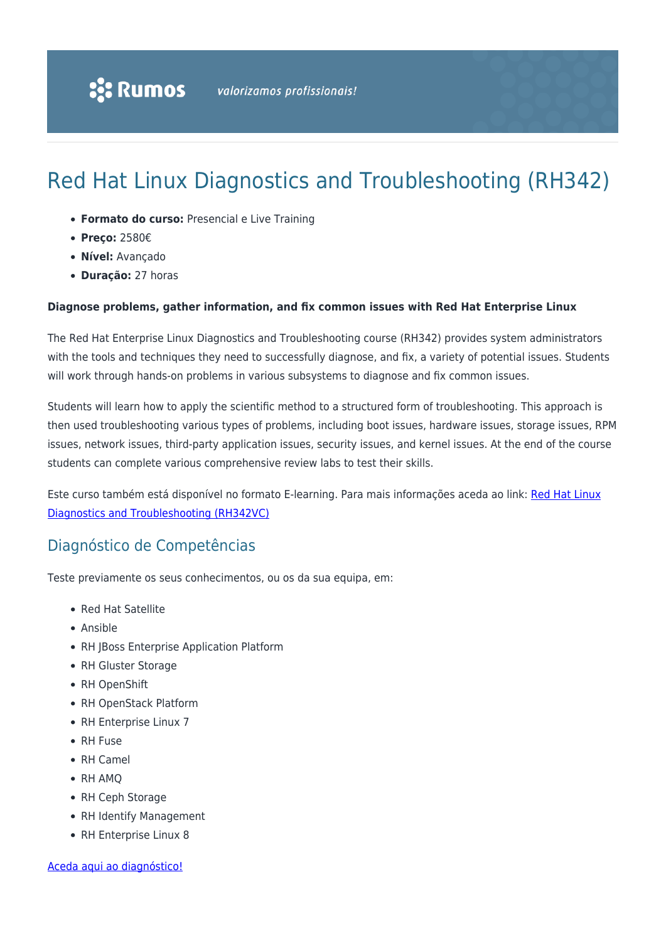# Red Hat Linux Diagnostics and Troubleshooting (RH342)

- **Formato do curso:** Presencial e Live Training
- **Preço:** 2580€
- **Nível:** Avançado
- **Duração:** 27 horas

#### **Diagnose problems, gather information, and fix common issues with Red Hat Enterprise Linux**

The Red Hat Enterprise Linux Diagnostics and Troubleshooting course (RH342) provides system administrators with the tools and techniques they need to successfully diagnose, and fix, a variety of potential issues. Students will work through hands-on problems in various subsystems to diagnose and fix common issues.

Students will learn how to apply the scientific method to a structured form of troubleshooting. This approach is then used troubleshooting various types of problems, including boot issues, hardware issues, storage issues, RPM issues, network issues, third-party application issues, security issues, and kernel issues. At the end of the course students can complete various comprehensive review labs to test their skills.

Este curso também está disponível no formato E-learning. Para mais informações aceda ao link: [Red Hat Linux](https://rumos.pt/curso/red-hat-linux-diagnostics-and-troubleshooting-rh342vc-e-learning/) [Diagnostics and Troubleshooting \(RH342VC\)](https://rumos.pt/curso/red-hat-linux-diagnostics-and-troubleshooting-rh342vc-e-learning/)

### Diagnóstico de Competências

Teste previamente os seus conhecimentos, ou os da sua equipa, em:

- Red Hat Satellite
- Ansible
- RH JBoss Enterprise Application Platform
- RH Gluster Storage
- RH OpenShift
- RH OpenStack Platform
- RH Enterprise Linux 7
- RH Fuse
- RH Camel
- RH AMO
- RH Ceph Storage
- RH Identify Management
- RH Enterprise Linux 8

[Aceda aqui ao diagnóstico!](https://www.redhat.com/rhtapps/assessment/?partner=rumos)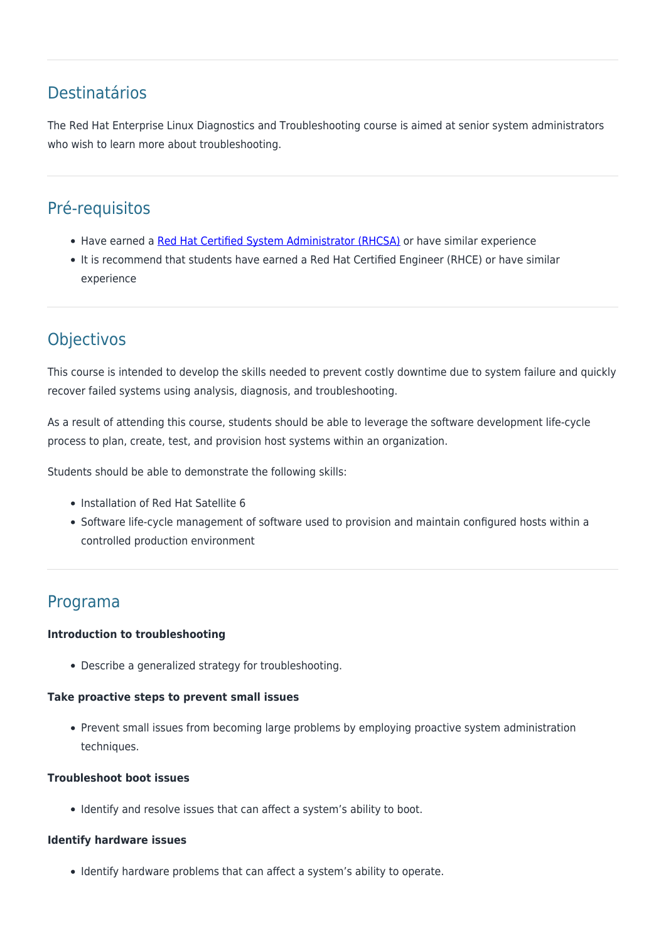### Destinatários

The Red Hat Enterprise Linux Diagnostics and Troubleshooting course is aimed at senior system administrators who wish to learn more about troubleshooting.

## Pré-requisitos

- Have earned a [Red Hat Certified System Administrator \(RHCSA\)](https://rumos.pt/curso/rhcsa-rapid-track-rh199-presencial-com-live-training/) or have similar experience
- It is recommend that students have earned a Red Hat Certified Engineer (RHCE) or have similar experience

# **Objectivos**

This course is intended to develop the skills needed to prevent costly downtime due to system failure and quickly recover failed systems using analysis, diagnosis, and troubleshooting.

As a result of attending this course, students should be able to leverage the software development life-cycle process to plan, create, test, and provision host systems within an organization.

Students should be able to demonstrate the following skills:

- Installation of Red Hat Satellite 6
- Software life-cycle management of software used to provision and maintain configured hosts within a controlled production environment

### Programa

#### **Introduction to troubleshooting**

Describe a generalized strategy for troubleshooting.

#### **Take proactive steps to prevent small issues**

Prevent small issues from becoming large problems by employing proactive system administration techniques.

#### **Troubleshoot boot issues**

• Identify and resolve issues that can affect a system's ability to boot.

#### **Identify hardware issues**

• Identify hardware problems that can affect a system's ability to operate.